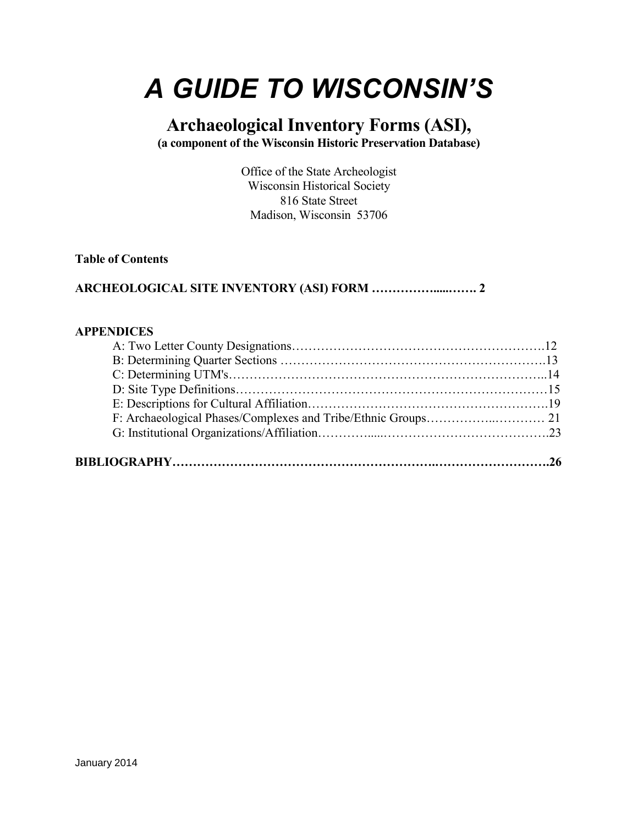# *A GUIDE TO WISCONSIN'S*

# **Archaeological Inventory Forms (ASI), (a component of the Wisconsin Historic Preservation Database)**

Office of the State Archeologist Wisconsin Historical Society 816 State Street Madison, Wisconsin 53706

#### **Table of Contents**

# **ARCHEOLOGICAL SITE INVENTORY (ASI) FORM …………….....……. 2**

#### **APPENDICES**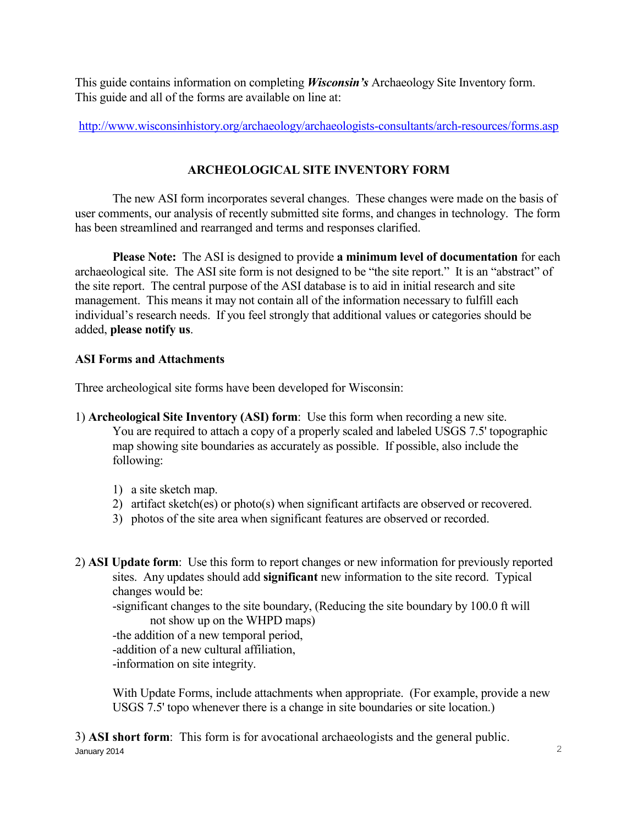This guide contains information on completing *Wisconsin's* Archaeology Site Inventory form. This guide and all of the forms are available on line at:

<http://www.wisconsinhistory.org/archaeology/archaeologists-consultants/arch-resources/forms.asp>

# **ARCHEOLOGICAL SITE INVENTORY FORM**

 The new ASI form incorporates several changes. These changes were made on the basis of user comments, our analysis of recently submitted site forms, and changes in technology. The form has been streamlined and rearranged and terms and responses clarified.

**Please Note:**The ASI is designed to provide **a minimum level of documentation** for each archaeological site. The ASI site form is not designed to be "the site report." It is an "abstract" of the site report. The central purpose of the ASI database is to aid in initial research and site management. This means it may not contain all of the information necessary to fulfill each individual's research needs. If you feel strongly that additional values or categories should be added, **please notify us**.

## **ASI Forms and Attachments**

Three archeological site forms have been developed for Wisconsin:

- 1) **Archeological Site Inventory (ASI) form**: Use this form when recording a new site. You are required to attach a copy of a properly scaled and labeled USGS 7.5' topographic map showing site boundaries as accurately as possible. If possible, also include the following:
	- 1) a site sketch map.
	- 2) artifact sketch(es) or photo(s) when significant artifacts are observed or recovered.
	- 3) photos of the site area when significant features are observed or recorded.
- 2) **ASI Update form**: Use this form to report changes or new information for previously reported sites. Any updates should add **significant** new information to the site record. Typical changes would be:

 -significant changes to the site boundary, (Reducing the site boundary by 100.0 ft will not show up on the WHPD maps)

 -the addition of a new temporal period, -addition of a new cultural affiliation,

-information on site integrity.

 With Update Forms, include attachments when appropriate. (For example, provide a new USGS 7.5' topo whenever there is a change in site boundaries or site location.)

 $J$ anuary 2014  $\sim$  2014 3) **ASI short form**: This form is for avocational archaeologists and the general public.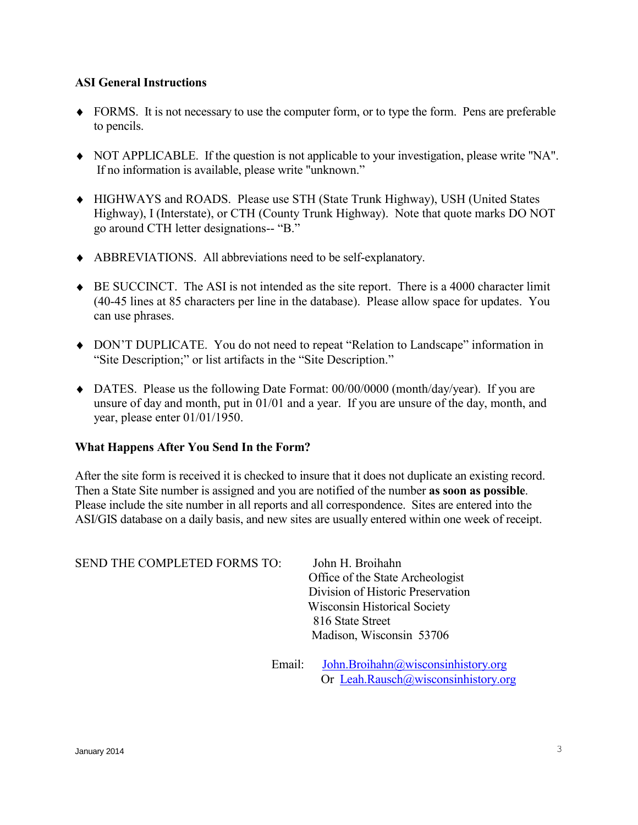#### **ASI General Instructions**

- FORMS. It is not necessary to use the computer form, or to type the form. Pens are preferable to pencils.
- NOT APPLICABLE. If the question is not applicable to your investigation, please write "NA". If no information is available, please write "unknown."
- HIGHWAYS and ROADS. Please use STH (State Trunk Highway), USH (United States Highway), I (Interstate), or CTH (County Trunk Highway). Note that quote marks DO NOT go around CTH letter designations-- "B."
- ABBREVIATIONS. All abbreviations need to be self-explanatory.
- BE SUCCINCT. The ASI is not intended as the site report. There is a 4000 character limit (40-45 lines at 85 characters per line in the database). Please allow space for updates. You can use phrases.
- DON'T DUPLICATE. You do not need to repeat "Relation to Landscape" information in "Site Description;" or list artifacts in the "Site Description."
- DATES. Please us the following Date Format: 00/00/0000 (month/day/year). If you are unsure of day and month, put in 01/01 and a year. If you are unsure of the day, month, and year, please enter 01/01/1950.

#### **What Happens After You Send In the Form?**

After the site form is received it is checked to insure that it does not duplicate an existing record. Then a State Site number is assigned and you are notified of the number **as soon as possible**. Please include the site number in all reports and all correspondence. Sites are entered into the ASI/GIS database on a daily basis, and new sites are usually entered within one week of receipt.

| <b>SEND THE COMPLETED FORMS TO:</b> | John H. Broihahn                                                                                                                                                                                                                                                                                                                                              |
|-------------------------------------|---------------------------------------------------------------------------------------------------------------------------------------------------------------------------------------------------------------------------------------------------------------------------------------------------------------------------------------------------------------|
|                                     | Office of the State Archeologist                                                                                                                                                                                                                                                                                                                              |
|                                     | Division of Historic Preservation                                                                                                                                                                                                                                                                                                                             |
|                                     | <b>Wisconsin Historical Society</b>                                                                                                                                                                                                                                                                                                                           |
|                                     | 816 State Street                                                                                                                                                                                                                                                                                                                                              |
|                                     | Madison, Wisconsin 53706                                                                                                                                                                                                                                                                                                                                      |
|                                     |                                                                                                                                                                                                                                                                                                                                                               |
|                                     | $\Gamma$ 1 $\Gamma$ 1 $\Gamma$ 1 $\Gamma$ 1 $\Gamma$ 1 $\Gamma$ 1 $\Gamma$ 1 $\Gamma$ 1 $\Gamma$ 1 $\Gamma$ 1 $\Gamma$ 1 $\Gamma$ 1 $\Gamma$ 1 $\Gamma$ 1 $\Gamma$ 1 $\Gamma$ 1 $\Gamma$ 1 $\Gamma$ 1 $\Gamma$ 1 $\Gamma$ 1 $\Gamma$ 1 $\Gamma$ 1 $\Gamma$ 1 $\Gamma$ 1 $\Gamma$ 1 $\Gamma$ 1 $\Gamma$ 1 $\Gamma$ 1 $\Gamma$ 1 $\Gamma$ 1 $\Gamma$ 1 $\Gamma$ |

Email: [John.Broihahn@wisconsinhistory.org](mailto:John.Broihahn@wisconsinhistory.org) Or [Leah.Rausch@wisconsinhistory.org](mailto:Leah.Rausch@wisconsinhistory.org)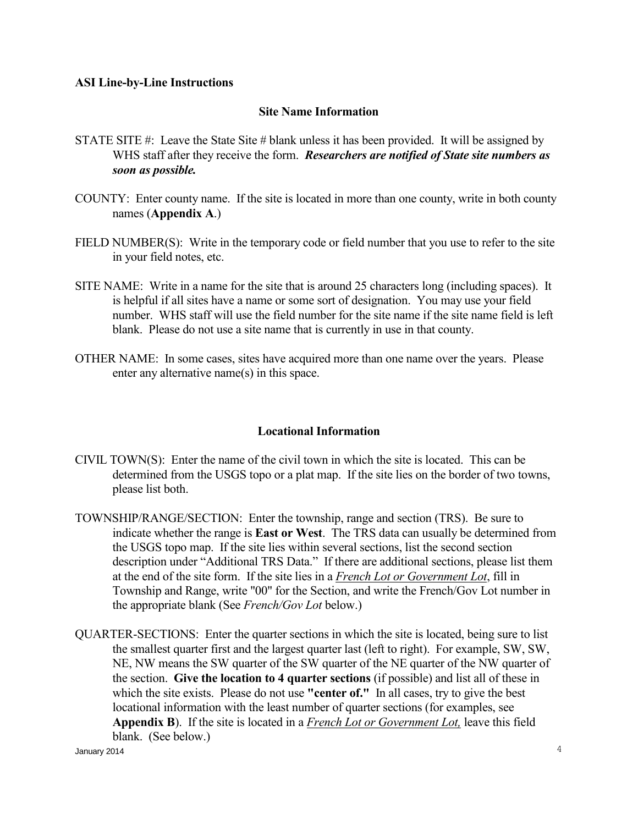#### **ASI Line-by-Line Instructions**

#### **Site Name Information**

- STATE SITE #: Leave the State Site # blank unless it has been provided. It will be assigned by WHS staff after they receive the form. *Researchers are notified of State site numbers as soon as possible.*
- COUNTY: Enter county name. If the site is located in more than one county, write in both county names (**Appendix A**.)
- FIELD NUMBER(S): Write in the temporary code or field number that you use to refer to the site in your field notes, etc.
- SITE NAME: Write in a name for the site that is around 25 characters long (including spaces). It is helpful if all sites have a name or some sort of designation. You may use your field number. WHS staff will use the field number for the site name if the site name field is left blank. Please do not use a site name that is currently in use in that county.
- OTHER NAME: In some cases, sites have acquired more than one name over the years. Please enter any alternative name(s) in this space.

#### **Locational Information**

- CIVIL TOWN(S): Enter the name of the civil town in which the site is located. This can be determined from the USGS topo or a plat map. If the site lies on the border of two towns, please list both.
- TOWNSHIP/RANGE/SECTION: Enter the township, range and section (TRS). Be sure to indicate whether the range is **East or West**. The TRS data can usually be determined from the USGS topo map. If the site lies within several sections, list the second section description under "Additional TRS Data." If there are additional sections, please list them at the end of the site form. If the site lies in a *French Lot or Government Lot*, fill in Township and Range, write "00" for the Section, and write the French/Gov Lot number in the appropriate blank (See *French/Gov Lot* below.)
- January 2014  $4$ QUARTER-SECTIONS: Enter the quarter sections in which the site is located, being sure to list the smallest quarter first and the largest quarter last (left to right). For example, SW, SW, NE, NW means the SW quarter of the SW quarter of the NE quarter of the NW quarter of the section. **Give the location to 4 quarter sections** (if possible) and list all of these in which the site exists. Please do not use **"center of."** In all cases, try to give the best locational information with the least number of quarter sections (for examples, see **Appendix B**). If the site is located in a *French Lot or Government Lot,* leave this field blank. (See below.)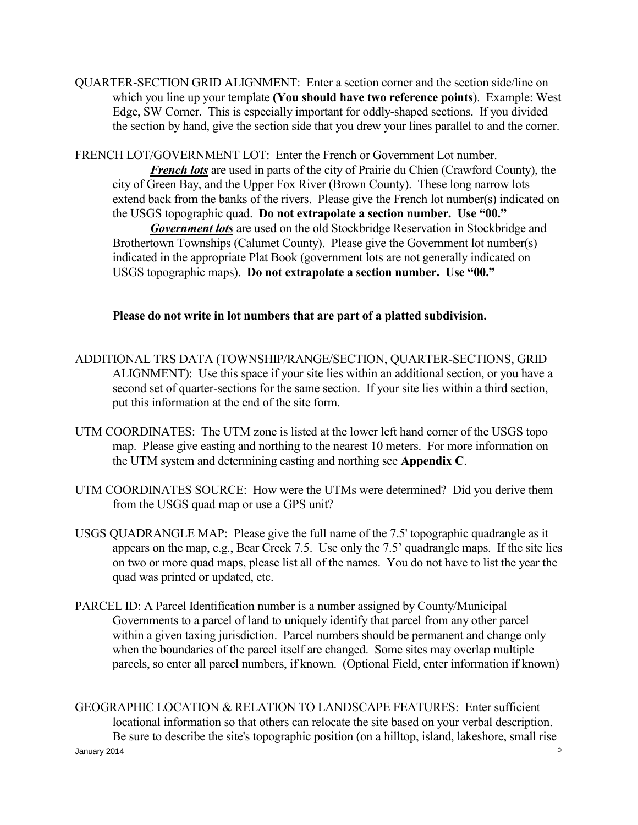QUARTER-SECTION GRID ALIGNMENT: Enter a section corner and the section side/line on which you line up your template **(You should have two reference points**). Example: West Edge, SW Corner. This is especially important for oddly-shaped sections. If you divided the section by hand, give the section side that you drew your lines parallel to and the corner.

FRENCH LOT/GOVERNMENT LOT: Enter the French or Government Lot number.

 *French lots* are used in parts of the city of Prairie du Chien (Crawford County), the city of Green Bay, and the Upper Fox River (Brown County). These long narrow lots extend back from the banks of the rivers. Please give the French lot number(s) indicated on the USGS topographic quad. **Do not extrapolate a section number. Use "00."** 

 *Government lots* are used on the old Stockbridge Reservation in Stockbridge and Brothertown Townships (Calumet County). Please give the Government lot number(s) indicated in the appropriate Plat Book (government lots are not generally indicated on USGS topographic maps). **Do not extrapolate a section number. Use "00."** 

**Please do not write in lot numbers that are part of a platted subdivision.** 

- ADDITIONAL TRS DATA (TOWNSHIP/RANGE/SECTION, QUARTER-SECTIONS, GRID ALIGNMENT): Use this space if your site lies within an additional section, or you have a second set of quarter-sections for the same section. If your site lies within a third section, put this information at the end of the site form.
- UTM COORDINATES: The UTM zone is listed at the lower left hand corner of the USGS topo map. Please give easting and northing to the nearest 10 meters. For more information on the UTM system and determining easting and northing see **Appendix C**.
- UTM COORDINATES SOURCE: How were the UTMs were determined? Did you derive them from the USGS quad map or use a GPS unit?
- USGS QUADRANGLE MAP: Please give the full name of the 7.5' topographic quadrangle as it appears on the map, e.g., Bear Creek 7.5. Use only the 7.5' quadrangle maps. If the site lies on two or more quad maps, please list all of the names. You do not have to list the year the quad was printed or updated, etc.
- PARCEL ID: A Parcel Identification number is a number assigned by County/Municipal Governments to a parcel of land to uniquely identify that parcel from any other parcel within a given taxing jurisdiction. Parcel numbers should be permanent and change only when the boundaries of the parcel itself are changed. Some sites may overlap multiple parcels, so enter all parcel numbers, if known. (Optional Field, enter information if known)

 $J$ anuary 2014  $\,$ GEOGRAPHIC LOCATION & RELATION TO LANDSCAPE FEATURES: Enter sufficient locational information so that others can relocate the site based on your verbal description. Be sure to describe the site's topographic position (on a hilltop, island, lakeshore, small rise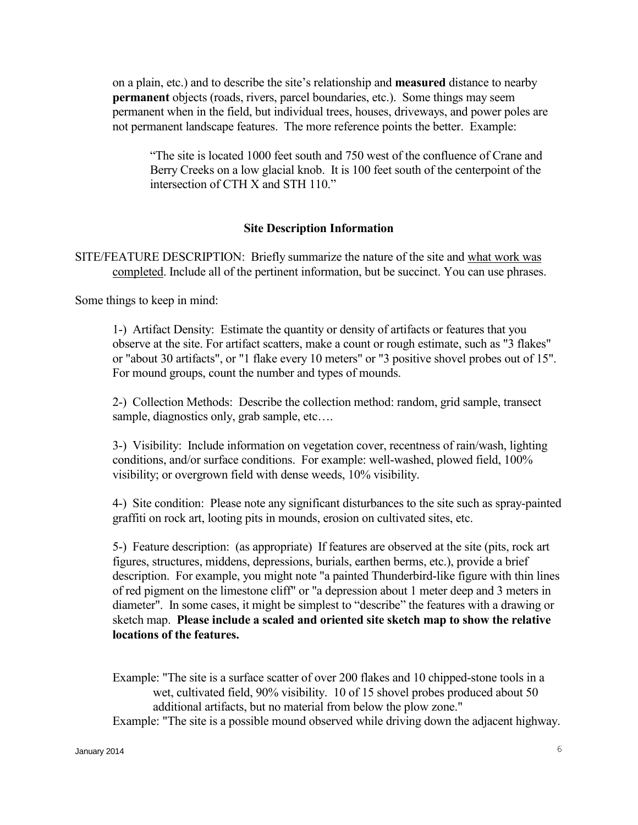on a plain, etc.) and to describe the site's relationship and **measured** distance to nearby **permanent** objects (roads, rivers, parcel boundaries, etc.). Some things may seem permanent when in the field, but individual trees, houses, driveways, and power poles are not permanent landscape features. The more reference points the better. Example:

"The site is located 1000 feet south and 750 west of the confluence of Crane and Berry Creeks on a low glacial knob. It is 100 feet south of the centerpoint of the intersection of CTH X and STH 110."

#### **Site Description Information**

SITE/FEATURE DESCRIPTION: Briefly summarize the nature of the site and what work was completed. Include all of the pertinent information, but be succinct. You can use phrases.

Some things to keep in mind:

1-) Artifact Density: Estimate the quantity or density of artifacts or features that you observe at the site. For artifact scatters, make a count or rough estimate, such as "3 flakes" or "about 30 artifacts", or "1 flake every 10 meters" or "3 positive shovel probes out of 15". For mound groups, count the number and types of mounds.

2-) Collection Methods: Describe the collection method: random, grid sample, transect sample, diagnostics only, grab sample, etc....

3-) Visibility: Include information on vegetation cover, recentness of rain/wash, lighting conditions, and/or surface conditions. For example: well-washed, plowed field, 100% visibility; or overgrown field with dense weeds, 10% visibility.

4-) Site condition: Please note any significant disturbances to the site such as spray-painted graffiti on rock art, looting pits in mounds, erosion on cultivated sites, etc.

5-) Feature description: (as appropriate) If features are observed at the site (pits, rock art figures, structures, middens, depressions, burials, earthen berms, etc.), provide a brief description. For example, you might note "a painted Thunderbird-like figure with thin lines of red pigment on the limestone cliff" or "a depression about 1 meter deep and 3 meters in diameter". In some cases, it might be simplest to "describe" the features with a drawing or sketch map. **Please include a scaled and oriented site sketch map to show the relative locations of the features.** 

 Example: "The site is a surface scatter of over 200 flakes and 10 chipped-stone tools in a wet, cultivated field, 90% visibility. 10 of 15 shovel probes produced about 50 additional artifacts, but no material from below the plow zone."

Example: "The site is a possible mound observed while driving down the adjacent highway.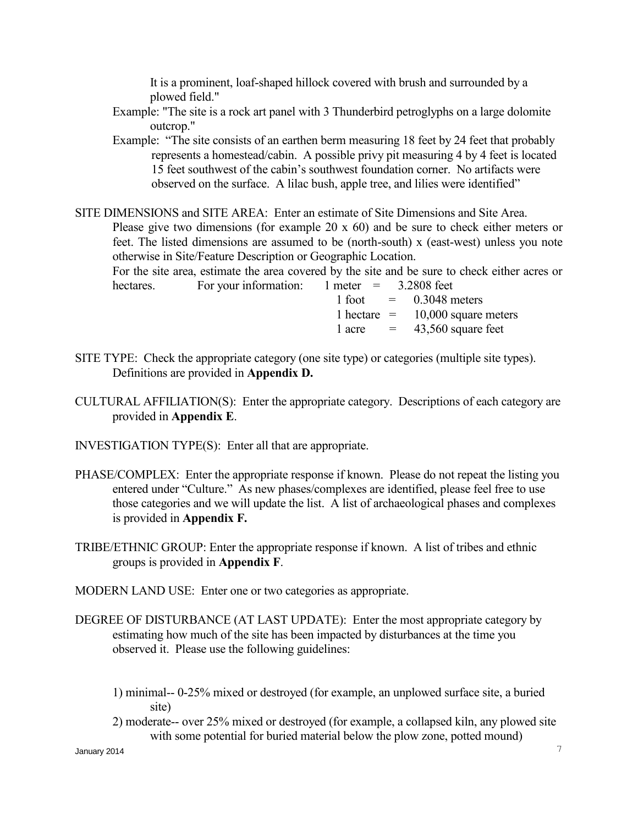It is a prominent, loaf-shaped hillock covered with brush and surrounded by a plowed field."

- Example: "The site is a rock art panel with 3 Thunderbird petroglyphs on a large dolomite outcrop."
- Example: "The site consists of an earthen berm measuring 18 feet by 24 feet that probably represents a homestead/cabin. A possible privy pit measuring 4 by 4 feet is located 15 feet southwest of the cabin's southwest foundation corner. No artifacts were observed on the surface. A lilac bush, apple tree, and lilies were identified"
- SITE DIMENSIONS and SITE AREA: Enter an estimate of Site Dimensions and Site Area. Please give two dimensions (for example 20 x 60) and be sure to check either meters or feet. The listed dimensions are assumed to be (north-south) x (east-west) unless you note otherwise in Site/Feature Description or Geographic Location.

 For the site area, estimate the area covered by the site and be sure to check either acres or hectares. For your information: 1 meter = 3.2808 feet

 $1$  foot  $=$  0.3048 meters 1 hectare  $=$  10,000 square meters 1 acre  $= 43,560$  square feet

- SITE TYPE: Check the appropriate category (one site type) or categories (multiple site types). Definitions are provided in **Appendix D.**
- CULTURAL AFFILIATION(S): Enter the appropriate category. Descriptions of each category are provided in **Appendix E**.
- INVESTIGATION TYPE(S): Enter all that are appropriate.
- PHASE/COMPLEX: Enter the appropriate response if known. Please do not repeat the listing you entered under "Culture." As new phases/complexes are identified, please feel free to use those categories and we will update the list. A list of archaeological phases and complexes is provided in **Appendix F.**
- TRIBE/ETHNIC GROUP: Enter the appropriate response if known. A list of tribes and ethnic groups is provided in **Appendix F**.
- MODERN LAND USE: Enter one or two categories as appropriate.
- DEGREE OF DISTURBANCE (AT LAST UPDATE): Enter the most appropriate category by estimating how much of the site has been impacted by disturbances at the time you observed it. Please use the following guidelines:
	- 1) minimal-- 0-25% mixed or destroyed (for example, an unplowed surface site, a buried site)
	- 2) moderate-- over 25% mixed or destroyed (for example, a collapsed kiln, any plowed site with some potential for buried material below the plow zone, potted mound)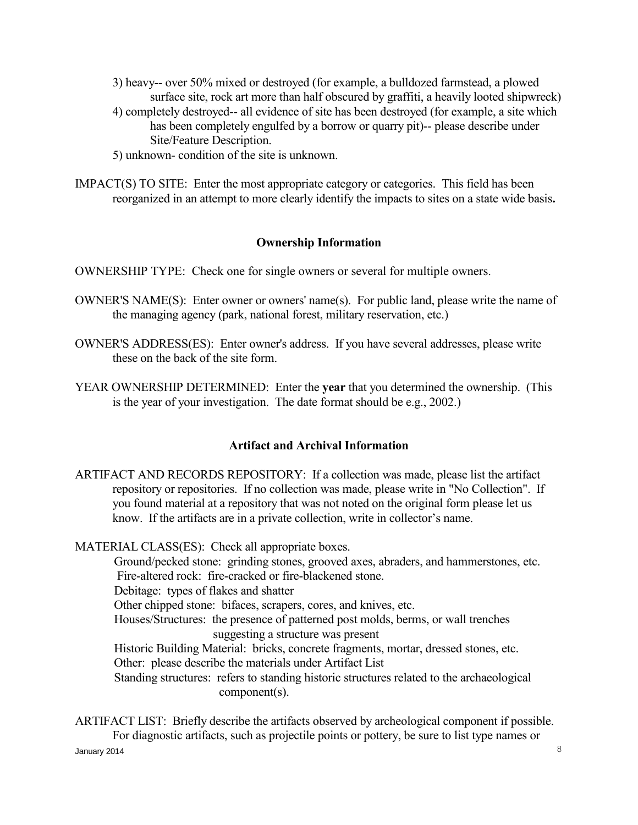- 3) heavy-- over 50% mixed or destroyed (for example, a bulldozed farmstead, a plowed surface site, rock art more than half obscured by graffiti, a heavily looted shipwreck)
- 4) completely destroyed-- all evidence of site has been destroyed (for example, a site which has been completely engulfed by a borrow or quarry pit)-- please describe under Site/Feature Description.
- 5) unknown- condition of the site is unknown.
- IMPACT(S) TO SITE: Enter the most appropriate category or categories. This field has been reorganized in an attempt to more clearly identify the impacts to sites on a state wide basis**.**

#### **Ownership Information**

OWNERSHIP TYPE: Check one for single owners or several for multiple owners.

- OWNER'S NAME(S): Enter owner or owners' name(s). For public land, please write the name of the managing agency (park, national forest, military reservation, etc.)
- OWNER'S ADDRESS(ES): Enter owner's address. If you have several addresses, please write these on the back of the site form.
- YEAR OWNERSHIP DETERMINED: Enter the **year** that you determined the ownership. (This is the year of your investigation. The date format should be e.g., 2002.)

## **Artifact and Archival Information**

ARTIFACT AND RECORDS REPOSITORY: If a collection was made, please list the artifact repository or repositories. If no collection was made, please write in "No Collection". If you found material at a repository that was not noted on the original form please let us know. If the artifacts are in a private collection, write in collector's name.

MATERIAL CLASS(ES): Check all appropriate boxes. Ground/pecked stone: grinding stones, grooved axes, abraders, and hammerstones, etc. Fire-altered rock: fire-cracked or fire-blackened stone. Debitage: types of flakes and shatter Other chipped stone: bifaces, scrapers, cores, and knives, etc. Houses/Structures: the presence of patterned post molds, berms, or wall trenches suggesting a structure was present Historic Building Material: bricks, concrete fragments, mortar, dressed stones, etc. Other: please describe the materials under Artifact List Standing structures: refers to standing historic structures related to the archaeological component(s).

 $\lambda$ January 2014  $\lambda$ ARTIFACT LIST: Briefly describe the artifacts observed by archeological component if possible. For diagnostic artifacts, such as projectile points or pottery, be sure to list type names or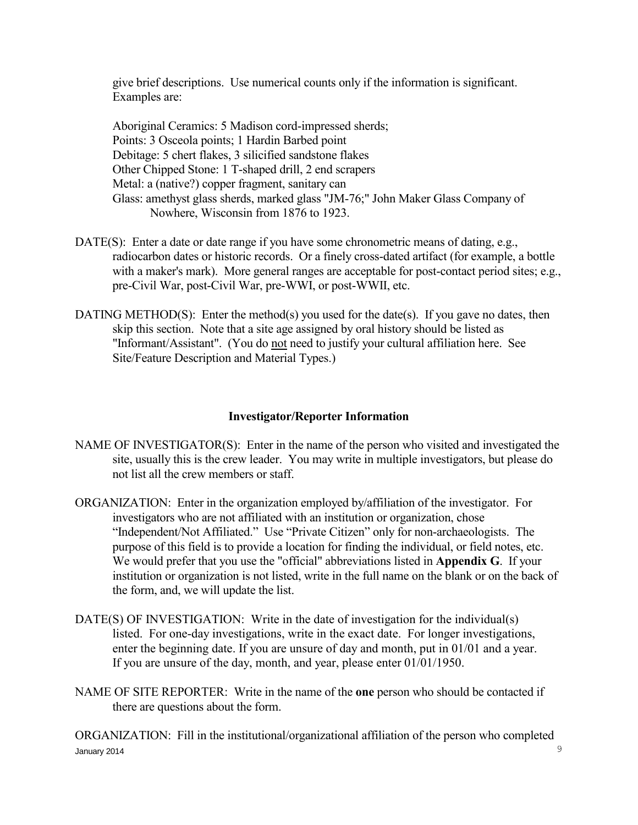give brief descriptions. Use numerical counts only if the information is significant. Examples are:

 Aboriginal Ceramics: 5 Madison cord-impressed sherds; Points: 3 Osceola points; 1 Hardin Barbed point Debitage: 5 chert flakes, 3 silicified sandstone flakes Other Chipped Stone: 1 T-shaped drill, 2 end scrapers Metal: a (native?) copper fragment, sanitary can Glass: amethyst glass sherds, marked glass "JM-76;" John Maker Glass Company of Nowhere, Wisconsin from 1876 to 1923.

- DATE(S): Enter a date or date range if you have some chronometric means of dating, e.g., radiocarbon dates or historic records. Or a finely cross-dated artifact (for example, a bottle with a maker's mark). More general ranges are acceptable for post-contact period sites; e.g., pre-Civil War, post-Civil War, pre-WWI, or post-WWII, etc.
- DATING METHOD(S): Enter the method(s) you used for the date(s). If you gave no dates, then skip this section. Note that a site age assigned by oral history should be listed as "Informant/Assistant". (You do not need to justify your cultural affiliation here. See Site/Feature Description and Material Types.)

## **Investigator/Reporter Information**

- NAME OF INVESTIGATOR(S): Enter in the name of the person who visited and investigated the site, usually this is the crew leader. You may write in multiple investigators, but please do not list all the crew members or staff.
- ORGANIZATION: Enter in the organization employed by/affiliation of the investigator. For investigators who are not affiliated with an institution or organization, chose "Independent/Not Affiliated." Use "Private Citizen" only for non-archaeologists. The purpose of this field is to provide a location for finding the individual, or field notes, etc. We would prefer that you use the "official" abbreviations listed in **Appendix G**. If your institution or organization is not listed, write in the full name on the blank or on the back of the form, and, we will update the list.
- DATE(S) OF INVESTIGATION: Write in the date of investigation for the individual(s) listed. For one-day investigations, write in the exact date. For longer investigations, enter the beginning date. If you are unsure of day and month, put in 01/01 and a year. If you are unsure of the day, month, and year, please enter 01/01/1950.
- NAME OF SITE REPORTER: Write in the name of the **one** person who should be contacted if there are questions about the form.

January 2014 9 ORGANIZATION: Fill in the institutional/organizational affiliation of the person who completed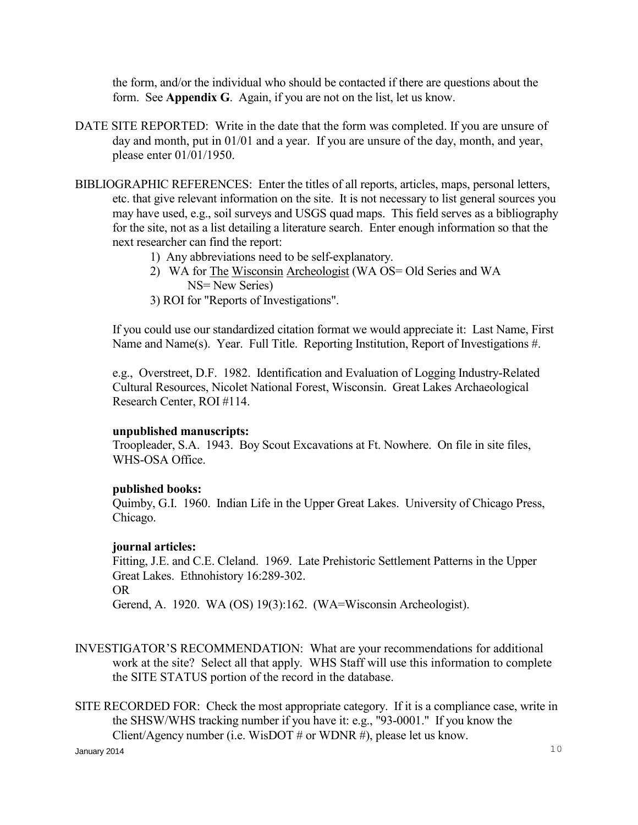the form, and/or the individual who should be contacted if there are questions about the form. See **Appendix G**. Again, if you are not on the list, let us know.

- DATE SITE REPORTED: Write in the date that the form was completed. If you are unsure of day and month, put in 01/01 and a year. If you are unsure of the day, month, and year, please enter 01/01/1950.
- BIBLIOGRAPHIC REFERENCES: Enter the titles of all reports, articles, maps, personal letters, etc. that give relevant information on the site. It is not necessary to list general sources you may have used, e.g., soil surveys and USGS quad maps. This field serves as a bibliography for the site, not as a list detailing a literature search. Enter enough information so that the next researcher can find the report:
	- 1) Any abbreviations need to be self-explanatory.
	- 2) WA for The Wisconsin Archeologist (WA OS= Old Series and WA NS= New Series)
	- 3) ROI for "Reports of Investigations".

 If you could use our standardized citation format we would appreciate it: Last Name, First Name and Name(s). Year. Full Title. Reporting Institution, Report of Investigations #.

 e.g., Overstreet, D.F. 1982. Identification and Evaluation of Logging Industry-Related Cultural Resources, Nicolet National Forest, Wisconsin. Great Lakes Archaeological Research Center, ROI #114.

#### **unpublished manuscripts:**

 Troopleader, S.A. 1943. Boy Scout Excavations at Ft. Nowhere. On file in site files, WHS-OSA Office.

#### **published books:**

 Quimby, G.I. 1960. Indian Life in the Upper Great Lakes. University of Chicago Press, Chicago.

#### **journal articles:**

 Fitting, J.E. and C.E. Cleland. 1969. Late Prehistoric Settlement Patterns in the Upper Great Lakes. Ethnohistory 16:289-302. OR Gerend, A. 1920. WA (OS) 19(3):162. (WA=Wisconsin Archeologist).

- INVESTIGATOR'S RECOMMENDATION: What are your recommendations for additional work at the site? Select all that apply. WHS Staff will use this information to complete the SITE STATUS portion of the record in the database.
- SITE RECORDED FOR: Check the most appropriate category. If it is a compliance case, write in the SHSW/WHS tracking number if you have it: e.g., "93-0001." If you know the Client/Agency number (i.e. WisDOT  $#$  or WDNR  $#$ ), please let us know.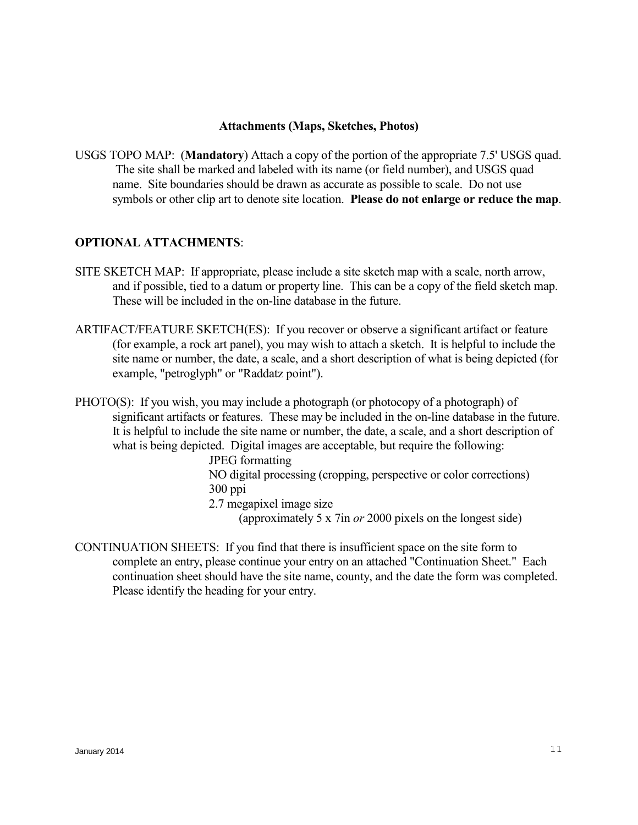#### **Attachments (Maps, Sketches, Photos)**

USGS TOPO MAP: (**Mandatory**) Attach a copy of the portion of the appropriate 7.5' USGS quad. The site shall be marked and labeled with its name (or field number), and USGS quad name. Site boundaries should be drawn as accurate as possible to scale. Do not use symbols or other clip art to denote site location. **Please do not enlarge or reduce the map**.

#### **OPTIONAL ATTACHMENTS**:

- SITE SKETCH MAP: If appropriate, please include a site sketch map with a scale, north arrow, and if possible, tied to a datum or property line. This can be a copy of the field sketch map. These will be included in the on-line database in the future.
- ARTIFACT/FEATURE SKETCH(ES): If you recover or observe a significant artifact or feature (for example, a rock art panel), you may wish to attach a sketch. It is helpful to include the site name or number, the date, a scale, and a short description of what is being depicted (for example, "petroglyph" or "Raddatz point").
- PHOTO(S): If you wish, you may include a photograph (or photocopy of a photograph) of significant artifacts or features. These may be included in the on-line database in the future. It is helpful to include the site name or number, the date, a scale, and a short description of what is being depicted. Digital images are acceptable, but require the following:
	- JPEG formatting

 NO digital processing (cropping, perspective or color corrections) 300 ppi

2.7 megapixel image size

(approximately 5 x 7in *or* 2000 pixels on the longest side)

CONTINUATION SHEETS: If you find that there is insufficient space on the site form to complete an entry, please continue your entry on an attached "Continuation Sheet." Each continuation sheet should have the site name, county, and the date the form was completed. Please identify the heading for your entry.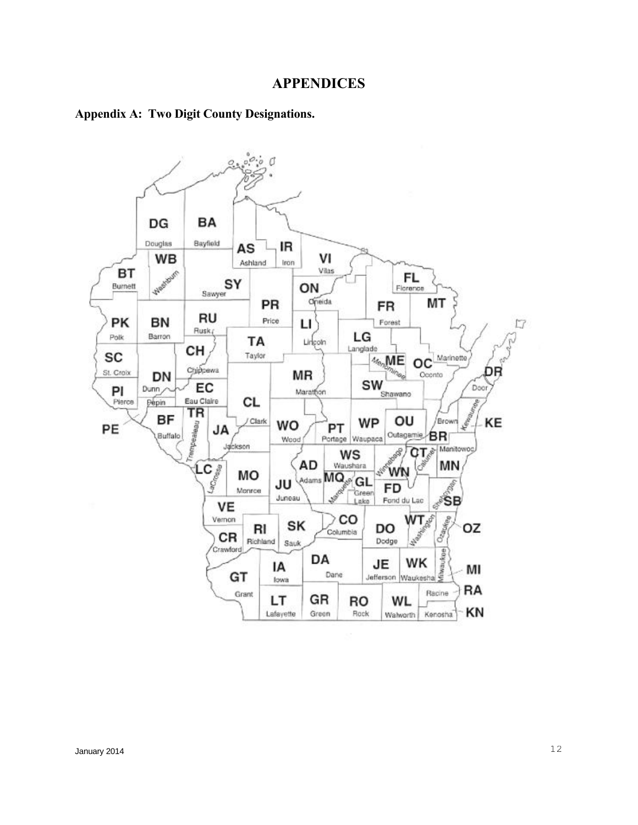#### **APPENDICES**

#### **Appendix A: Two Digit County Designations.**

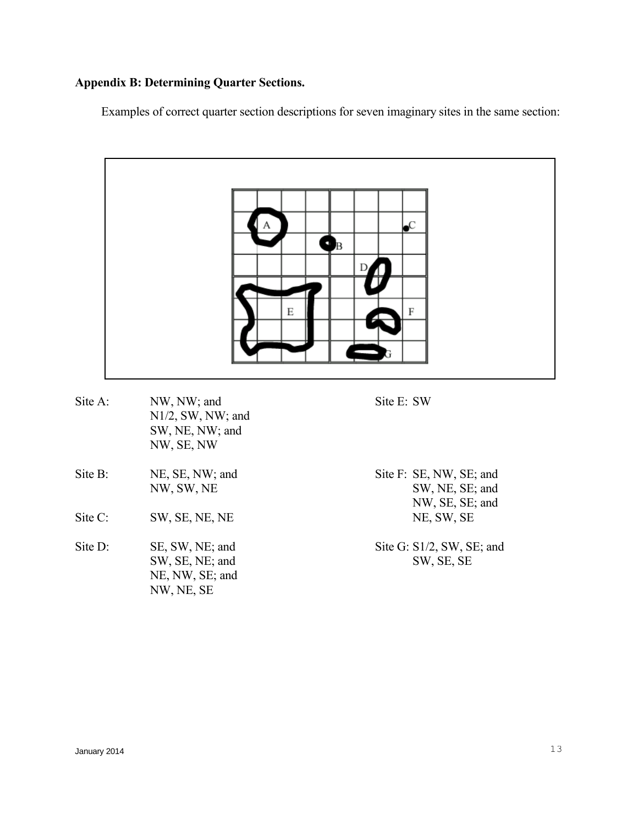# **Appendix B: Determining Quarter Sections.**

Examples of correct quarter section descriptions for seven imaginary sites in the same section:



|                    | NW, SE, NW                                                          |                                                               |
|--------------------|---------------------------------------------------------------------|---------------------------------------------------------------|
| Site B:            | NE, SE, NW; and<br>NW, SW, NE                                       | Site F: SE, NW, SE; and<br>SW, NE, SE; and<br>NW, SE, SE; and |
| $\text{Site } C$ : | SW, SE, NE, NE                                                      | NE, SW, SE                                                    |
| Site D:            | SE, SW, NE; and<br>SW, SE, NE; and<br>NE, NW, SE; and<br>NW, NE, SE | Site G: S1/2, SW, SE; and<br>SW, SE, SE                       |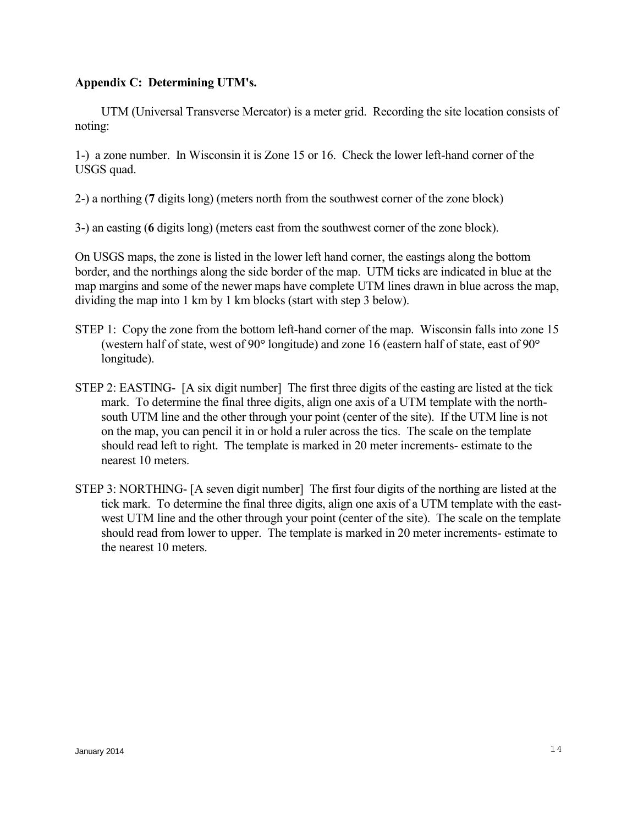#### **Appendix C: Determining UTM's.**

 UTM (Universal Transverse Mercator) is a meter grid. Recording the site location consists of noting:

1-) a zone number. In Wisconsin it is Zone 15 or 16. Check the lower left-hand corner of the USGS quad.

2-) a northing (**7** digits long) (meters north from the southwest corner of the zone block)

3-) an easting (**6** digits long) (meters east from the southwest corner of the zone block).

On USGS maps, the zone is listed in the lower left hand corner, the eastings along the bottom border, and the northings along the side border of the map. UTM ticks are indicated in blue at the map margins and some of the newer maps have complete UTM lines drawn in blue across the map, dividing the map into 1 km by 1 km blocks (start with step 3 below).

- STEP 1: Copy the zone from the bottom left-hand corner of the map. Wisconsin falls into zone 15 (western half of state, west of  $90^{\circ}$  longitude) and zone 16 (eastern half of state, east of  $90^{\circ}$ longitude).
- STEP 2: EASTING- [A six digit number] The first three digits of the easting are listed at the tick mark. To determine the final three digits, align one axis of a UTM template with the northsouth UTM line and the other through your point (center of the site). If the UTM line is not on the map, you can pencil it in or hold a ruler across the tics. The scale on the template should read left to right. The template is marked in 20 meter increments- estimate to the nearest 10 meters.
- STEP 3: NORTHING- [A seven digit number] The first four digits of the northing are listed at the tick mark. To determine the final three digits, align one axis of a UTM template with the eastwest UTM line and the other through your point (center of the site). The scale on the template should read from lower to upper. The template is marked in 20 meter increments- estimate to the nearest 10 meters.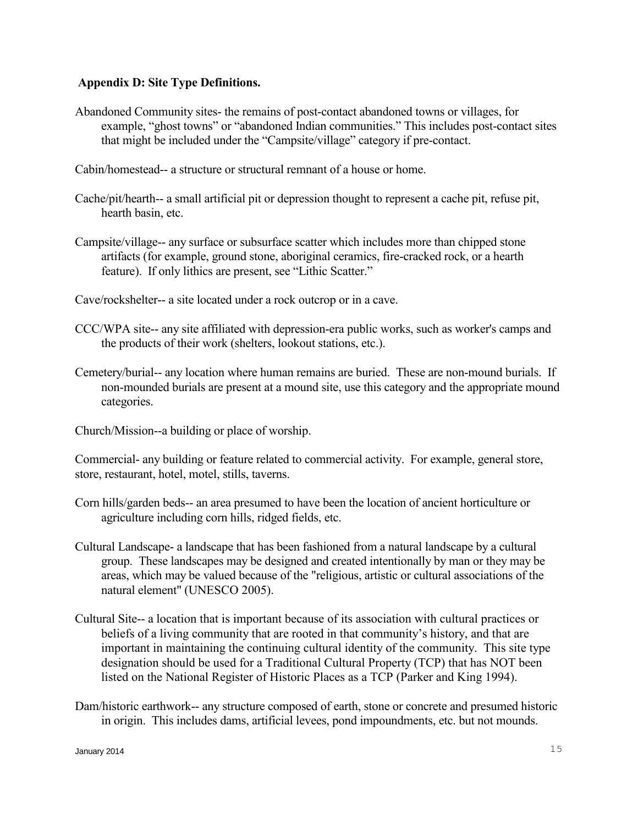#### **Appendix D: Site Type Definitions.**

Abandoned Community sites- the remains of post-contact abandoned towns or villages, for example, "ghost towns" or "abandoned Indian communities." This includes post-contact sites that might be included under the "Campsite/village" category if pre-contact.

Cabin/homestead-- a structure or structural remnant of a house or home.

- Cache/pit/hearth-- a small artificial pit or depression thought to represent a cache pit, refuse pit, hearth basin, etc.
- Campsite/village-- any surface or subsurface scatter which includes more than chipped stone artifacts (for example, ground stone, aboriginal ceramics, fire-cracked rock, or a hearth feature). If only lithics are present, see "Lithic Scatter."

Cave/rockshelter-- a site located under a rock outcrop or in a cave.

- CCC/WPA site-- any site affiliated with depression-era public works, such as worker's camps and the products of their work (shelters, lookout stations, etc.).
- Cemetery/burial-- any location where human remains are buried. These are non-mound burials. If non-mounded burials are present at a mound site, use this category and the appropriate mound categories.

Church/Mission--a building or place of worship.

Commercial- any building or feature related to commercial activity. For example, general store, store, restaurant, hotel, motel, stills, taverns.

- Corn hills/garden beds-- an area presumed to have been the location of ancient horticulture or agriculture including corn hills, ridged fields, etc.
- Cultural Landscape- a landscape that has been fashioned from a natural landscape by a cultural group. These landscapes may be designed and created intentionally by man or they may be areas, which may be valued because of the "religious, artistic or cultural associations of the natural element" (UNESCO 2005).
- Cultural Site-- a location that is important because of its association with cultural practices or beliefs of a living community that are rooted in that community's history, and that are important in maintaining the continuing cultural identity of the community. This site type designation should be used for a Traditional Cultural Property (TCP) that has NOT been listed on the National Register of Historic Places as a TCP (Parker and King 1994).
- Dam/historic earthwork-- any structure composed of earth, stone or concrete and presumed historic in origin. This includes dams, artificial levees, pond impoundments, etc. but not mounds.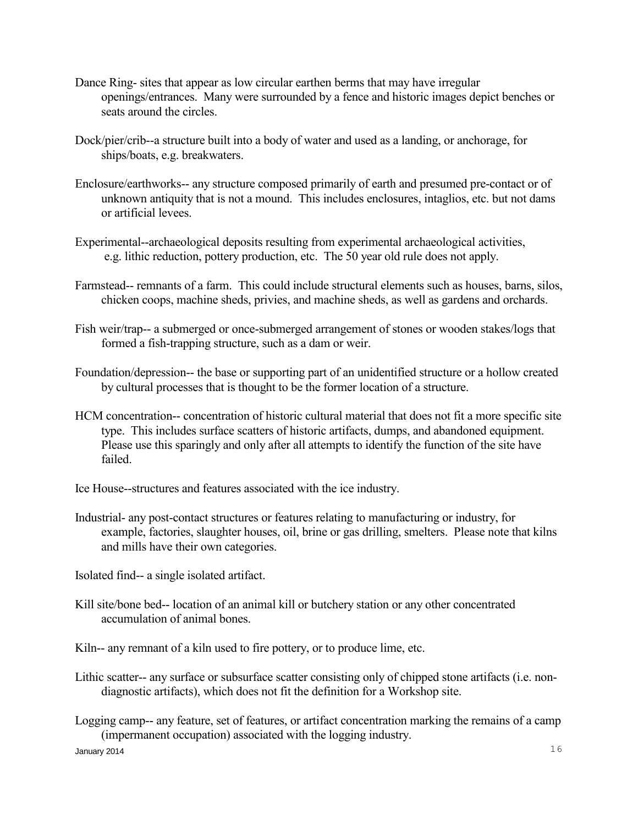- Dance Ring- sites that appear as low circular earthen berms that may have irregular openings/entrances. Many were surrounded by a fence and historic images depict benches or seats around the circles.
- Dock/pier/crib--a structure built into a body of water and used as a landing, or anchorage, for ships/boats, e.g. breakwaters.
- Enclosure/earthworks-- any structure composed primarily of earth and presumed pre-contact or of unknown antiquity that is not a mound. This includes enclosures, intaglios, etc. but not dams or artificial levees.
- Experimental--archaeological deposits resulting from experimental archaeological activities, e.g. lithic reduction, pottery production, etc. The 50 year old rule does not apply.
- Farmstead-- remnants of a farm. This could include structural elements such as houses, barns, silos, chicken coops, machine sheds, privies, and machine sheds, as well as gardens and orchards.
- Fish weir/trap-- a submerged or once-submerged arrangement of stones or wooden stakes/logs that formed a fish-trapping structure, such as a dam or weir.
- Foundation/depression-- the base or supporting part of an unidentified structure or a hollow created by cultural processes that is thought to be the former location of a structure.
- HCM concentration-- concentration of historic cultural material that does not fit a more specific site type. This includes surface scatters of historic artifacts, dumps, and abandoned equipment. Please use this sparingly and only after all attempts to identify the function of the site have failed.
- Ice House--structures and features associated with the ice industry.
- Industrial- any post-contact structures or features relating to manufacturing or industry, for example, factories, slaughter houses, oil, brine or gas drilling, smelters. Please note that kilns and mills have their own categories.
- Isolated find-- a single isolated artifact.
- Kill site/bone bed-- location of an animal kill or butchery station or any other concentrated accumulation of animal bones.
- Kiln-- any remnant of a kiln used to fire pottery, or to produce lime, etc.
- Lithic scatter-- any surface or subsurface scatter consisting only of chipped stone artifacts (i.e. nondiagnostic artifacts), which does not fit the definition for a Workshop site.
- Logging camp-- any feature, set of features, or artifact concentration marking the remains of a camp (impermanent occupation) associated with the logging industry.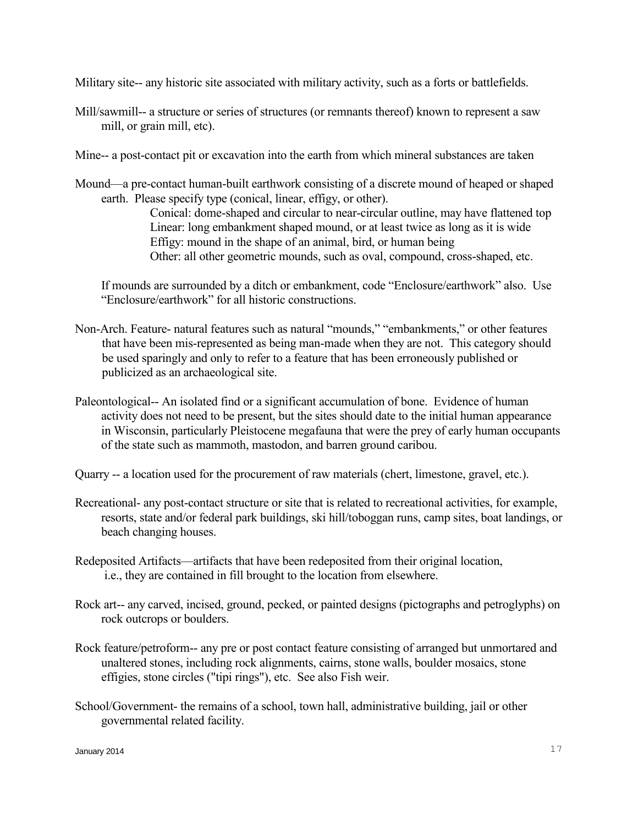Military site-- any historic site associated with military activity, such as a forts or battlefields.

Mill/sawmill-- a structure or series of structures (or remnants thereof) known to represent a saw mill, or grain mill, etc).

Mine-- a post-contact pit or excavation into the earth from which mineral substances are taken

Mound—a pre-contact human-built earthwork consisting of a discrete mound of heaped or shaped earth. Please specify type (conical, linear, effigy, or other).

 Conical: dome-shaped and circular to near-circular outline, may have flattened top Linear: long embankment shaped mound, or at least twice as long as it is wide Effigy: mound in the shape of an animal, bird, or human being Other: all other geometric mounds, such as oval, compound, cross-shaped, etc.

 If mounds are surrounded by a ditch or embankment, code "Enclosure/earthwork" also. Use "Enclosure/earthwork" for all historic constructions.

- Non-Arch. Feature- natural features such as natural "mounds," "embankments," or other features that have been mis-represented as being man-made when they are not. This category should be used sparingly and only to refer to a feature that has been erroneously published or publicized as an archaeological site.
- Paleontological-- An isolated find or a significant accumulation of bone. Evidence of human activity does not need to be present, but the sites should date to the initial human appearance in Wisconsin, particularly Pleistocene megafauna that were the prey of early human occupants of the state such as mammoth, mastodon, and barren ground caribou.
- Quarry -- a location used for the procurement of raw materials (chert, limestone, gravel, etc.).
- Recreational- any post-contact structure or site that is related to recreational activities, for example, resorts, state and/or federal park buildings, ski hill/toboggan runs, camp sites, boat landings, or beach changing houses.
- Redeposited Artifacts—artifacts that have been redeposited from their original location, i.e., they are contained in fill brought to the location from elsewhere.
- Rock art-- any carved, incised, ground, pecked, or painted designs (pictographs and petroglyphs) on rock outcrops or boulders.
- Rock feature/petroform-- any pre or post contact feature consisting of arranged but unmortared and unaltered stones, including rock alignments, cairns, stone walls, boulder mosaics, stone effigies, stone circles ("tipi rings"), etc. See also Fish weir.
- School/Government- the remains of a school, town hall, administrative building, jail or other governmental related facility.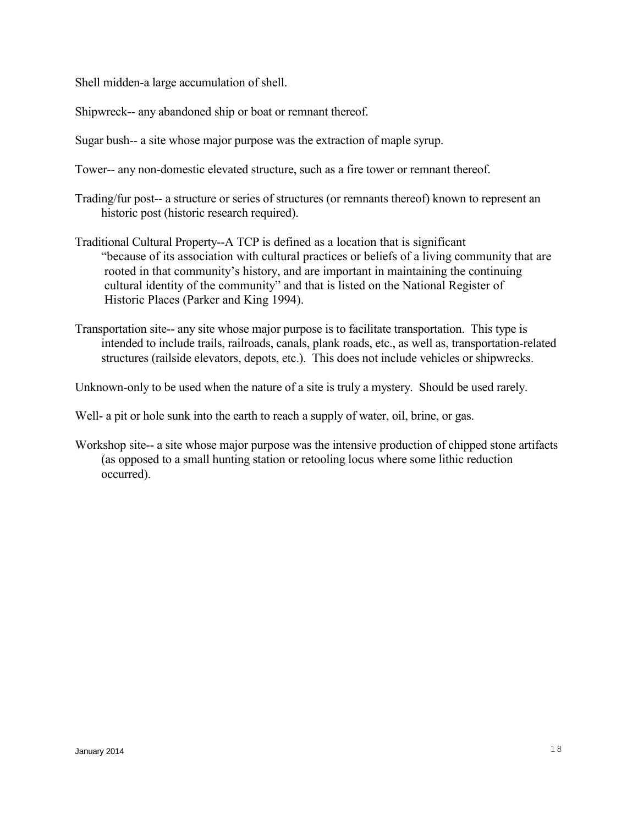Shell midden-a large accumulation of shell.

Shipwreck-- any abandoned ship or boat or remnant thereof.

Sugar bush-- a site whose major purpose was the extraction of maple syrup.

Tower-- any non-domestic elevated structure, such as a fire tower or remnant thereof.

- Trading/fur post-- a structure or series of structures (or remnants thereof) known to represent an historic post (historic research required).
- Traditional Cultural Property--A TCP is defined as a location that is significant "because of its association with cultural practices or beliefs of a living community that are rooted in that community's history, and are important in maintaining the continuing cultural identity of the community" and that is listed on the National Register of Historic Places (Parker and King 1994).
- Transportation site-- any site whose major purpose is to facilitate transportation. This type is intended to include trails, railroads, canals, plank roads, etc., as well as, transportation-related structures (railside elevators, depots, etc.). This does not include vehicles or shipwrecks.

Unknown-only to be used when the nature of a site is truly a mystery. Should be used rarely.

Well- a pit or hole sunk into the earth to reach a supply of water, oil, brine, or gas.

Workshop site-- a site whose major purpose was the intensive production of chipped stone artifacts (as opposed to a small hunting station or retooling locus where some lithic reduction occurred).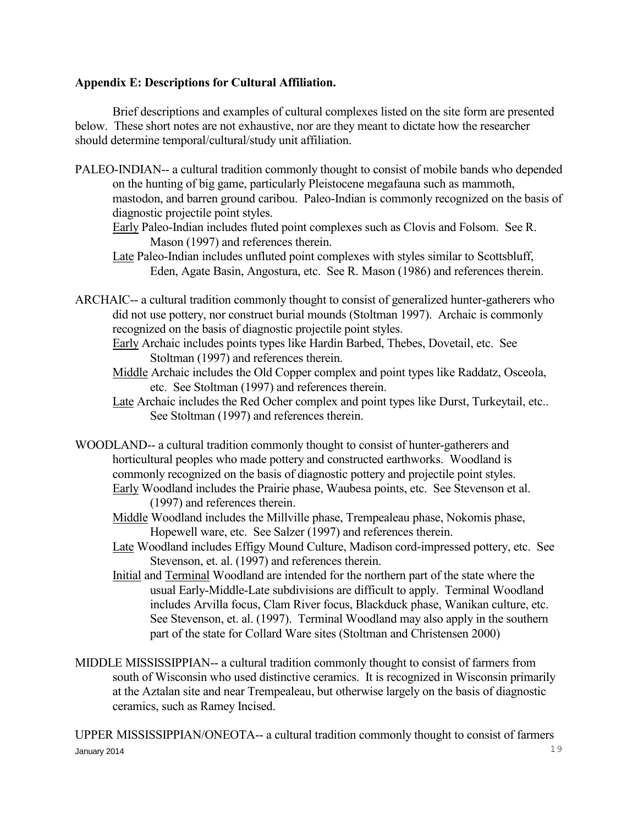#### **Appendix E: Descriptions for Cultural Affiliation.**

 Brief descriptions and examples of cultural complexes listed on the site form are presented below. These short notes are not exhaustive, nor are they meant to dictate how the researcher should determine temporal/cultural/study unit affiliation.

PALEO-INDIAN-- a cultural tradition commonly thought to consist of mobile bands who depended on the hunting of big game, particularly Pleistocene megafauna such as mammoth, mastodon, and barren ground caribou. Paleo-Indian is commonly recognized on the basis of diagnostic projectile point styles.

 Early Paleo-Indian includes fluted point complexes such as Clovis and Folsom. See R. Mason (1997) and references therein.

- Late Paleo-Indian includes unfluted point complexes with styles similar to Scottsbluff, Eden, Agate Basin, Angostura, etc. See R. Mason (1986) and references therein.
- ARCHAIC-- a cultural tradition commonly thought to consist of generalized hunter-gatherers who did not use pottery, nor construct burial mounds (Stoltman 1997). Archaic is commonly recognized on the basis of diagnostic projectile point styles.
	- Early Archaic includes points types like Hardin Barbed, Thebes, Dovetail, etc. See Stoltman (1997) and references therein.
	- Middle Archaic includes the Old Copper complex and point types like Raddatz, Osceola, etc. See Stoltman (1997) and references therein.
	- Late Archaic includes the Red Ocher complex and point types like Durst, Turkeytail, etc.. See Stoltman (1997) and references therein.
- WOODLAND-- a cultural tradition commonly thought to consist of hunter-gatherers and horticultural peoples who made pottery and constructed earthworks. Woodland is commonly recognized on the basis of diagnostic pottery and projectile point styles. Early Woodland includes the Prairie phase, Waubesa points, etc. See Stevenson et al.
	- (1997) and references therein.
	- Middle Woodland includes the Millville phase, Trempealeau phase, Nokomis phase, Hopewell ware, etc. See Salzer (1997) and references therein.
	- Late Woodland includes Effigy Mound Culture, Madison cord-impressed pottery, etc. See Stevenson, et. al. (1997) and references therein.
	- Initial and Terminal Woodland are intended for the northern part of the state where the usual Early-Middle-Late subdivisions are difficult to apply. Terminal Woodland includes Arvilla focus, Clam River focus, Blackduck phase, Wanikan culture, etc. See Stevenson, et. al. (1997). Terminal Woodland may also apply in the southern part of the state for Collard Ware sites (Stoltman and Christensen 2000)
- MIDDLE MISSISSIPPIAN-- a cultural tradition commonly thought to consist of farmers from south of Wisconsin who used distinctive ceramics. It is recognized in Wisconsin primarily at the Aztalan site and near Trempealeau, but otherwise largely on the basis of diagnostic ceramics, such as Ramey Incised.

 $J$ anuary 2014  $19$ UPPER MISSISSIPPIAN/ONEOTA-- a cultural tradition commonly thought to consist of farmers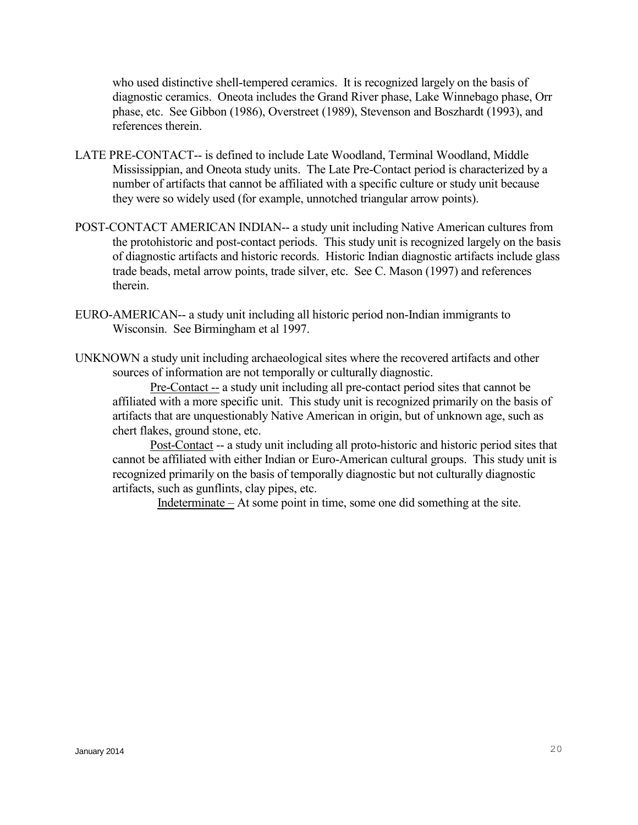who used distinctive shell-tempered ceramics. It is recognized largely on the basis of diagnostic ceramics. Oneota includes the Grand River phase, Lake Winnebago phase, Orr phase, etc. See Gibbon (1986), Overstreet (1989), Stevenson and Boszhardt (1993), and references therein.

- LATE PRE-CONTACT-- is defined to include Late Woodland, Terminal Woodland, Middle Mississippian, and Oneota study units. The Late Pre-Contact period is characterized by a number of artifacts that cannot be affiliated with a specific culture or study unit because they were so widely used (for example, unnotched triangular arrow points).
- POST-CONTACT AMERICAN INDIAN-- a study unit including Native American cultures from the protohistoric and post-contact periods. This study unit is recognized largely on the basis of diagnostic artifacts and historic records. Historic Indian diagnostic artifacts include glass trade beads, metal arrow points, trade silver, etc. See C. Mason (1997) and references therein.
- EURO-AMERICAN-- a study unit including all historic period non-Indian immigrants to Wisconsin. See Birmingham et al 1997.
- UNKNOWN a study unit including archaeological sites where the recovered artifacts and other sources of information are not temporally or culturally diagnostic.

 Pre-Contact -- a study unit including all pre-contact period sites that cannot be affiliated with a more specific unit. This study unit is recognized primarily on the basis of artifacts that are unquestionably Native American in origin, but of unknown age, such as chert flakes, ground stone, etc.

 Post-Contact -- a study unit including all proto-historic and historic period sites that cannot be affiliated with either Indian or Euro-American cultural groups. This study unit is recognized primarily on the basis of temporally diagnostic but not culturally diagnostic artifacts, such as gunflints, clay pipes, etc.

Indeterminate – At some point in time, some one did something at the site.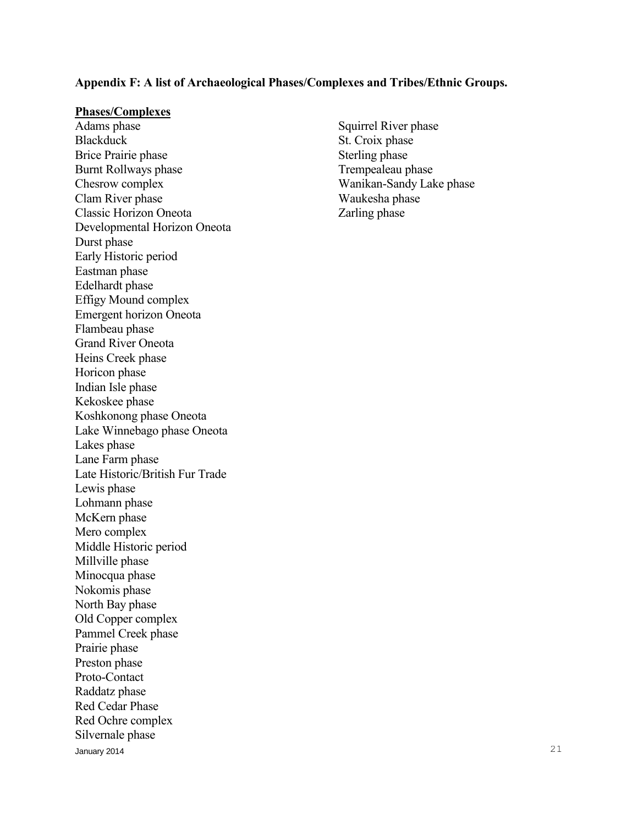#### **Appendix F: A list of Archaeological Phases/Complexes and Tribes/Ethnic Groups.**

#### **Phases/Complexes**

January 2014  $\sim$  21 Adams phase Squirrel River phase Blackduck St. Croix phase Brice Prairie phase Sterling phase Burnt Rollways phase Trempealeau phase Chesrow complex Wanikan-Sandy Lake phase Clam River phase Waukesha phase Classic Horizon Oneota Zarling phase Developmental Horizon Oneota Durst phase Early Historic period Eastman phase Edelhardt phase Effigy Mound complex Emergent horizon Oneota Flambeau phase Grand River Oneota Heins Creek phase Horicon phase Indian Isle phase Kekoskee phase Koshkonong phase Oneota Lake Winnebago phase Oneota Lakes phase Lane Farm phase Late Historic/British Fur Trade Lewis phase Lohmann phase McKern phase Mero complex Middle Historic period Millville phase Minocqua phase Nokomis phase North Bay phase Old Copper complex Pammel Creek phase Prairie phase Preston phase Proto-Contact Raddatz phase Red Cedar Phase Red Ochre complex Silvernale phase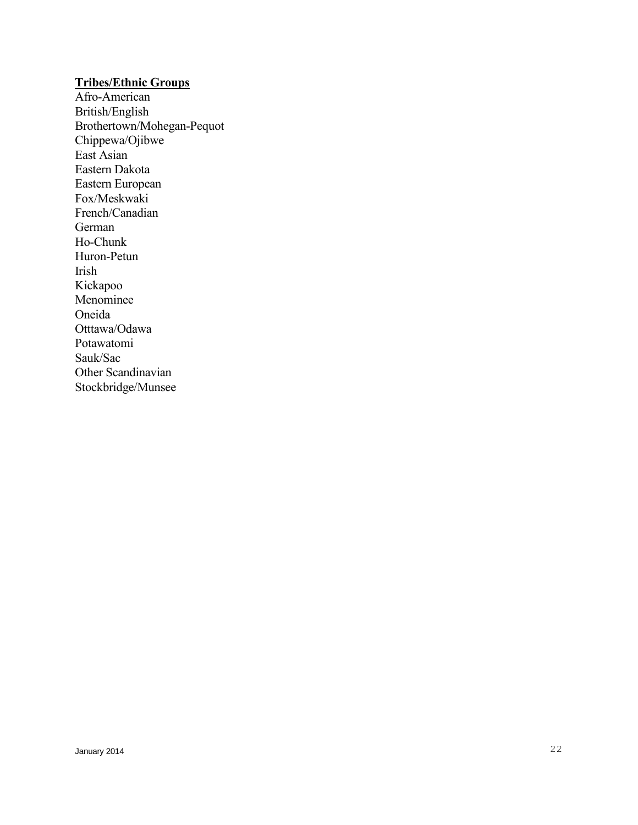## **Tribes/Ethnic Groups**

Afro-American British/English Brothertown/Mohegan-Pequot Chippewa/Ojibwe East Asian Eastern Dakota Eastern European Fox/Meskwaki French/Canadian German Ho-Chunk Huron-Petun Irish Kickapoo Menominee Oneida Otttawa/Odawa Potawatomi Sauk/Sac Other Scandinavian Stockbridge/Munsee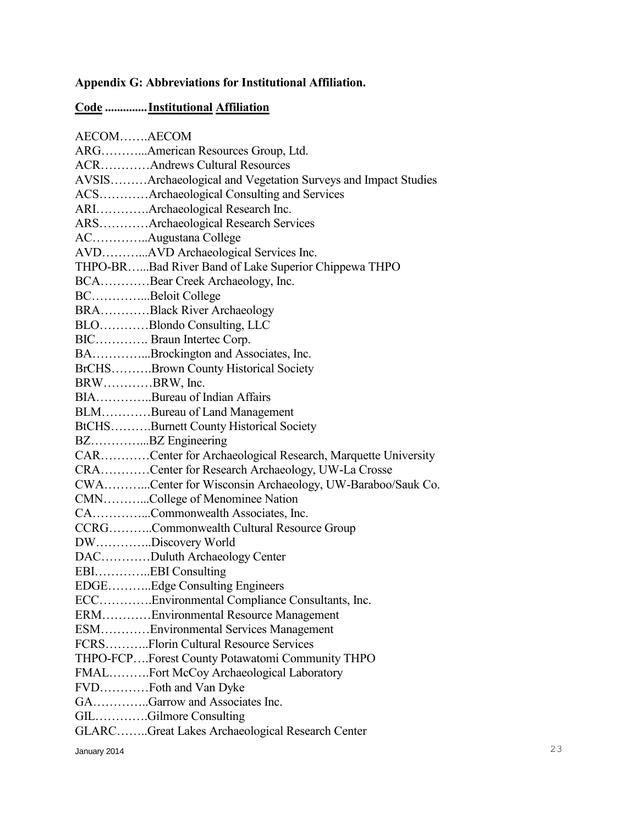# **Appendix G: Abbreviations for Institutional Affiliation.**

## **Code .............. Institutional Affiliation**

| AECOMAECOM   |                                                               |
|--------------|---------------------------------------------------------------|
|              | ARGAmerican Resources Group, Ltd.                             |
|              | <b>ACRAndrews Cultural Resources</b>                          |
|              | AVSISArchaeological and Vegetation Surveys and Impact Studies |
|              | ACSArchaeological Consulting and Services                     |
|              | ARIArchaeological Research Inc.                               |
|              | ARSArchaeological Research Services                           |
|              | ACAugustana College                                           |
|              | AVDAVD Archaeological Services Inc.                           |
|              | THPO-BRBad River Band of Lake Superior Chippewa THPO          |
|              | BCABear Creek Archaeology, Inc.                               |
|              | BCBeloit College                                              |
|              | BRABlack River Archaeology                                    |
|              | BLOBlondo Consulting, LLC                                     |
|              | BIC Braun Intertec Corp.                                      |
|              | BABrockington and Associates, Inc.                            |
|              | BrCHSBrown County Historical Society                          |
| BRWBRW, Inc. |                                                               |
|              | BIABureau of Indian Affairs                                   |
|              | BLMBureau of Land Management                                  |
|              | BtCHSBurnett County Historical Society                        |
|              | BZBZ Engineering                                              |
|              | CARCenter for Archaeological Research, Marquette University   |
|              | CRACenter for Research Archaeology, UW-La Crosse              |
|              | CWACenter for Wisconsin Archaeology, UW-Baraboo/Sauk Co.      |
|              | CMNCollege of Menominee Nation                                |
|              | CACommonwealth Associates, Inc.                               |
|              | CCRGCommonwealth Cultural Resource Group                      |
|              | DWDiscovery World                                             |
|              | DACDuluth Archaeology Center                                  |
|              | EBIEBI Consulting                                             |
|              | EDGEEdge Consulting Engineers                                 |
|              | ECCEnvironmental Compliance Consultants, Inc.                 |
|              | ERMEnvironmental Resource Management                          |
|              | ESMEnvironmental Services Management                          |
|              | FCRSFlorin Cultural Resource Services                         |
|              | THPO-FCPForest County Potawatomi Community THPO               |
|              | FMALFort McCoy Archaeological Laboratory                      |
|              |                                                               |
|              | GAGarrow and Associates Inc.                                  |
|              | GILGilmore Consulting                                         |
|              | GLARCGreat Lakes Archaeological Research Center               |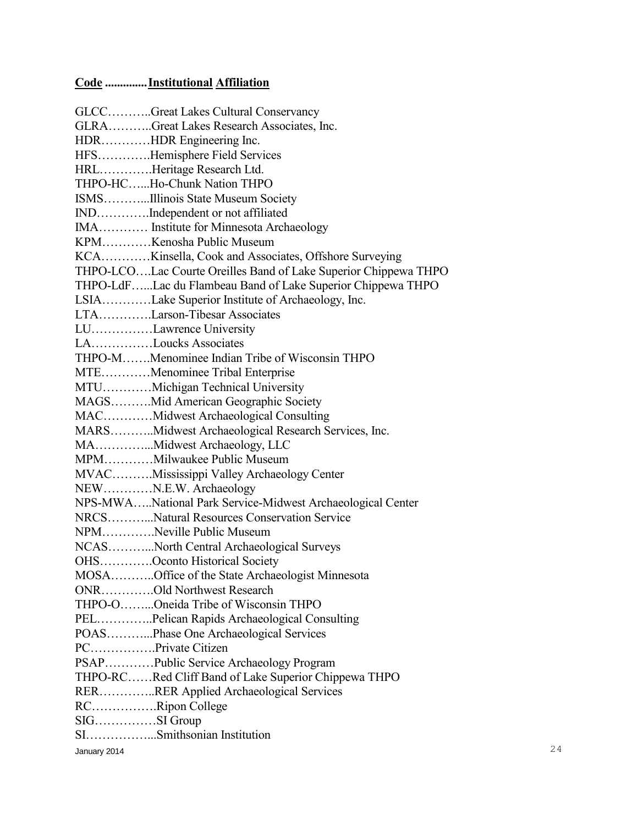# **Code .............. Institutional Affiliation**

|              | GLCCGreat Lakes Cultural Conservancy                            |    |
|--------------|-----------------------------------------------------------------|----|
|              | GLRAGreat Lakes Research Associates, Inc.                       |    |
|              | HDRHDR Engineering Inc.                                         |    |
|              | HFSHemisphere Field Services                                    |    |
|              | HRLHeritage Research Ltd.                                       |    |
|              | THPO-HCHo-Chunk Nation THPO                                     |    |
|              | ISMSIllinois State Museum Society                               |    |
|              | INDIndependent or not affiliated                                |    |
|              | IMA Institute for Minnesota Archaeology                         |    |
|              | KPMKenosha Public Museum                                        |    |
|              | KCAKinsella, Cook and Associates, Offshore Surveying            |    |
|              | THPO-LCOLac Courte Oreilles Band of Lake Superior Chippewa THPO |    |
|              | THPO-LdFLac du Flambeau Band of Lake Superior Chippewa THPO     |    |
|              | LSIALake Superior Institute of Archaeology, Inc.                |    |
|              | LTALarson-Tibesar Associates                                    |    |
|              | LULawrence University                                           |    |
|              | LALoucks Associates                                             |    |
|              | THPO-MMenominee Indian Tribe of Wisconsin THPO                  |    |
|              | MTEMenominee Tribal Enterprise                                  |    |
|              | MTUMichigan Technical University                                |    |
|              | MAGSMid American Geographic Society                             |    |
|              | MACMidwest Archaeological Consulting                            |    |
|              | MARSMidwest Archaeological Research Services, Inc.              |    |
|              | MAMidwest Archaeology, LLC                                      |    |
|              | MPMMilwaukee Public Museum                                      |    |
|              | MVACMississippi Valley Archaeology Center                       |    |
|              | NEWN.E.W. Archaeology                                           |    |
|              | NPS-MWANational Park Service-Midwest Archaeological Center      |    |
|              | NRCSNatural Resources Conservation Service                      |    |
|              | NPMNeville Public Museum                                        |    |
|              | NCASNorth Central Archaeological Surveys                        |    |
|              | OHSOconto Historical Society                                    |    |
|              | MOSAOffice of the State Archaeologist Minnesota                 |    |
|              | ONROld Northwest Research                                       |    |
|              | THPO-OOneida Tribe of Wisconsin THPO                            |    |
|              | PELPelican Rapids Archaeological Consulting                     |    |
|              | POASPhase One Archaeological Services                           |    |
|              | PCPrivate Citizen                                               |    |
|              | PSAPPublic Service Archaeology Program                          |    |
|              | THPO-RCRed Cliff Band of Lake Superior Chippewa THPO            |    |
|              | RERRER Applied Archaeological Services                          |    |
|              | RCRipon College                                                 |    |
|              |                                                                 |    |
|              | SISmithsonian Institution                                       |    |
| January 2014 |                                                                 | 24 |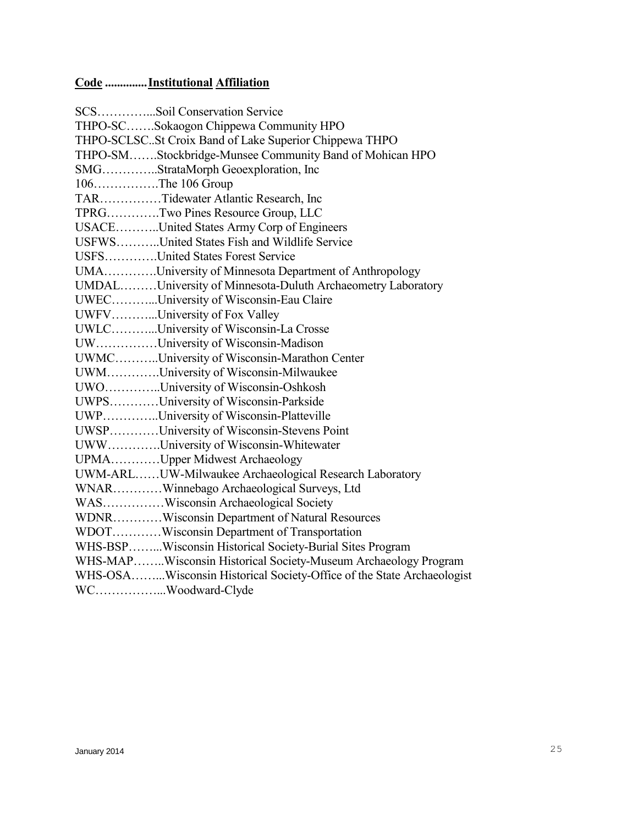# **Code .............. Institutional Affiliation**

| SCSSoil Conservation Service                                          |
|-----------------------------------------------------------------------|
| THPO-SCSokaogon Chippewa Community HPO                                |
| THPO-SCLSCSt Croix Band of Lake Superior Chippewa THPO                |
| THPO-SMStockbridge-Munsee Community Band of Mohican HPO               |
| SMGStrataMorph Geoexploration, Inc                                    |
| 106The 106 Group                                                      |
| TARTidewater Atlantic Research, Inc                                   |
| TPRGTwo Pines Resource Group, LLC                                     |
| USACEUnited States Army Corp of Engineers                             |
| USFWSUnited States Fish and Wildlife Service                          |
| USFSUnited States Forest Service                                      |
| UMAUniversity of Minnesota Department of Anthropology                 |
| UMDALUniversity of Minnesota-Duluth Archaeometry Laboratory           |
| UWECUniversity of Wisconsin-Eau Claire                                |
| UWFVUniversity of Fox Valley                                          |
| UWLCUniversity of Wisconsin-La Crosse                                 |
| UWUniversity of Wisconsin-Madison                                     |
| UWMCUniversity of Wisconsin-Marathon Center                           |
| UWMUniversity of Wisconsin-Milwaukee                                  |
| UWOUniversity of Wisconsin-Oshkosh                                    |
| UWPSUniversity of Wisconsin-Parkside                                  |
| UWPUniversity of Wisconsin-Platteville                                |
| UWSPUniversity of Wisconsin-Stevens Point                             |
| UWWUniversity of Wisconsin-Whitewater                                 |
| UPMAUpper Midwest Archaeology                                         |
| UWM-ARLUW-Milwaukee Archaeological Research Laboratory                |
| WNARWinnebago Archaeological Surveys, Ltd                             |
| WASWisconsin Archaeological Society                                   |
| WDNRWisconsin Department of Natural Resources                         |
| WDOTWisconsin Department of Transportation                            |
| WHS-BSPWisconsin Historical Society-Burial Sites Program              |
| WHS-MAPWisconsin Historical Society-Museum Archaeology Program        |
| WHS-OSAWisconsin Historical Society-Office of the State Archaeologist |
| WCWoodward-Clyde                                                      |